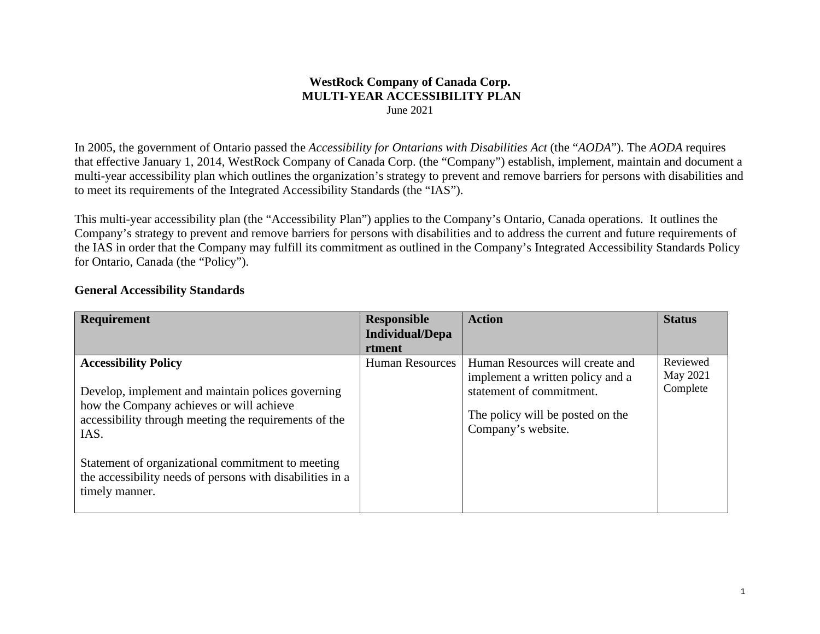#### **WestRock Company of Canada Corp. MULTI-YEAR ACCESSIBILITY PLAN** June 2021

In 2005, the government of Ontario passed the *Accessibility for Ontarians with Disabilities Act* (the "*AODA*"). The *AODA* requires that effective January 1, 2014, WestRock Company of Canada Corp. (the "Company") establish, implement, maintain and document a multi-year accessibility plan which outlines the organization's strategy to prevent and remove barriers for persons with disabilities and to meet its requirements of the Integrated Accessibility Standards (the "IAS").

This multi-year accessibility plan (the "Accessibility Plan") applies to the Company's Ontario, Canada operations. It outlines the Company's strategy to prevent and remove barriers for persons with disabilities and to address the current and future requirements of the IAS in order that the Company may fulfill its commitment as outlined in the Company's Integrated Accessibility Standards Policy for Ontario, Canada (the "Policy").

| <b>Requirement</b>                                                                                             | <b>Responsible</b>     | <b>Action</b>                                                       | <b>Status</b>        |
|----------------------------------------------------------------------------------------------------------------|------------------------|---------------------------------------------------------------------|----------------------|
|                                                                                                                | <b>Individual/Depa</b> |                                                                     |                      |
|                                                                                                                | rtment                 |                                                                     |                      |
| <b>Accessibility Policy</b>                                                                                    | <b>Human Resources</b> | Human Resources will create and<br>implement a written policy and a | Reviewed<br>May 2021 |
| Develop, implement and maintain polices governing<br>how the Company achieves or will achieve                  |                        | statement of commitment.                                            | Complete             |
| accessibility through meeting the requirements of the                                                          |                        | The policy will be posted on the<br>Company's website.              |                      |
| IAS.                                                                                                           |                        |                                                                     |                      |
| Statement of organizational commitment to meeting<br>the accessibility needs of persons with disabilities in a |                        |                                                                     |                      |
| timely manner.                                                                                                 |                        |                                                                     |                      |

#### **General Accessibility Standards**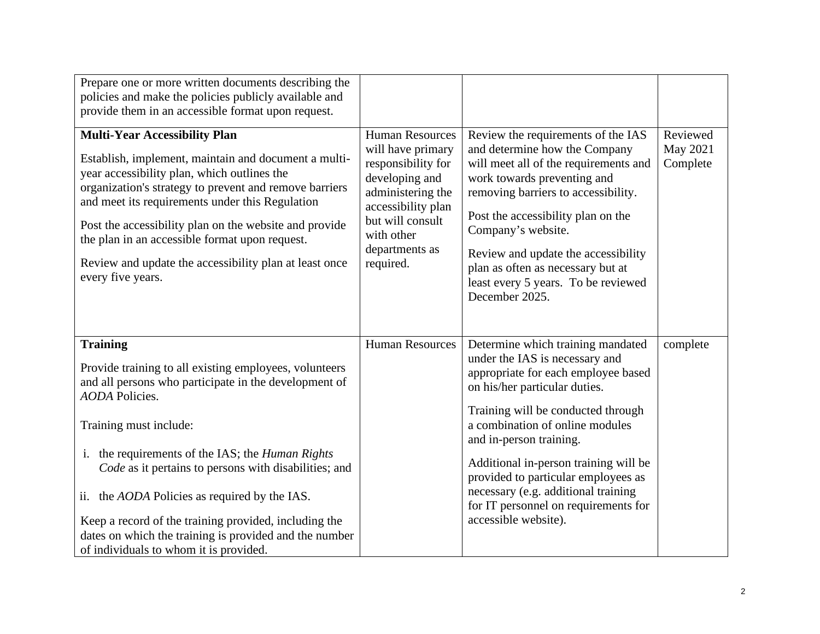| Prepare one or more written documents describing the<br>policies and make the policies publicly available and<br>provide them in an accessible format upon request.                                                                                                                                                                                                                                                                                                                                                               |                                                                                                                                                                                                 |                                                                                                                                                                                                                                                                                                                                                                                                                                        |                                  |
|-----------------------------------------------------------------------------------------------------------------------------------------------------------------------------------------------------------------------------------------------------------------------------------------------------------------------------------------------------------------------------------------------------------------------------------------------------------------------------------------------------------------------------------|-------------------------------------------------------------------------------------------------------------------------------------------------------------------------------------------------|----------------------------------------------------------------------------------------------------------------------------------------------------------------------------------------------------------------------------------------------------------------------------------------------------------------------------------------------------------------------------------------------------------------------------------------|----------------------------------|
| <b>Multi-Year Accessibility Plan</b><br>Establish, implement, maintain and document a multi-<br>year accessibility plan, which outlines the<br>organization's strategy to prevent and remove barriers<br>and meet its requirements under this Regulation<br>Post the accessibility plan on the website and provide<br>the plan in an accessible format upon request.<br>Review and update the accessibility plan at least once<br>every five years.                                                                               | <b>Human Resources</b><br>will have primary<br>responsibility for<br>developing and<br>administering the<br>accessibility plan<br>but will consult<br>with other<br>departments as<br>required. | Review the requirements of the IAS<br>and determine how the Company<br>will meet all of the requirements and<br>work towards preventing and<br>removing barriers to accessibility.<br>Post the accessibility plan on the<br>Company's website.<br>Review and update the accessibility<br>plan as often as necessary but at<br>least every 5 years. To be reviewed<br>December 2025.                                                    | Reviewed<br>May 2021<br>Complete |
| <b>Training</b><br>Provide training to all existing employees, volunteers<br>and all persons who participate in the development of<br><b>AODA</b> Policies.<br>Training must include:<br>the requirements of the IAS; the <i>Human Rights</i><br>i.<br>Code as it pertains to persons with disabilities; and<br>ii. the <i>AODA</i> Policies as required by the IAS.<br>Keep a record of the training provided, including the<br>dates on which the training is provided and the number<br>of individuals to whom it is provided. | <b>Human Resources</b>                                                                                                                                                                          | Determine which training mandated<br>under the IAS is necessary and<br>appropriate for each employee based<br>on his/her particular duties.<br>Training will be conducted through<br>a combination of online modules<br>and in-person training.<br>Additional in-person training will be<br>provided to particular employees as<br>necessary (e.g. additional training<br>for IT personnel on requirements for<br>accessible website). | complete                         |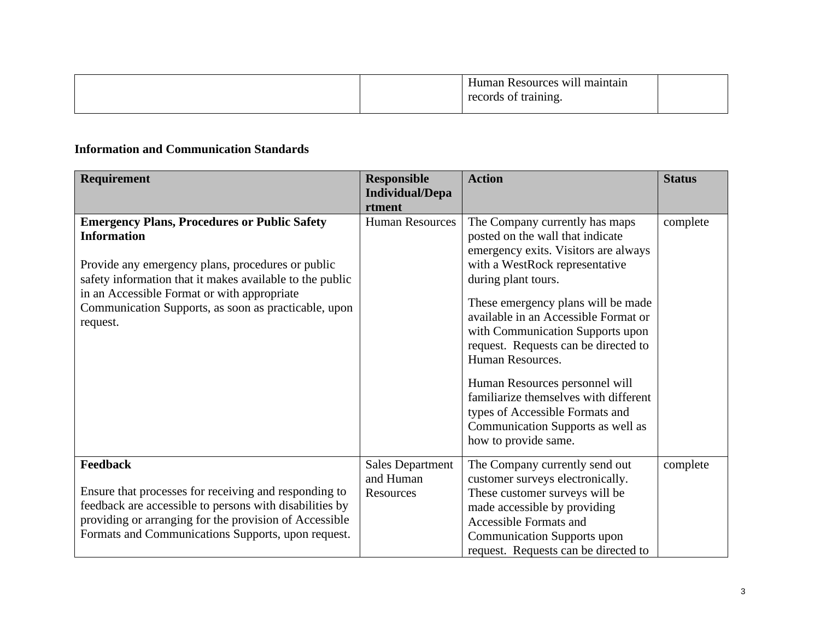| maintain<br>Human Resources will<br>records of training. |  |
|----------------------------------------------------------|--|
|                                                          |  |

## **Information and Communication Standards**

| Requirement                                                                                                                                                                                                                                                                                                   | <b>Responsible</b><br><b>Individual/Depa</b>      | <b>Action</b>                                                                                                                                                                                                                                                                                                                                                                                                                                                                                                                | <b>Status</b> |
|---------------------------------------------------------------------------------------------------------------------------------------------------------------------------------------------------------------------------------------------------------------------------------------------------------------|---------------------------------------------------|------------------------------------------------------------------------------------------------------------------------------------------------------------------------------------------------------------------------------------------------------------------------------------------------------------------------------------------------------------------------------------------------------------------------------------------------------------------------------------------------------------------------------|---------------|
| <b>Emergency Plans, Procedures or Public Safety</b><br><b>Information</b><br>Provide any emergency plans, procedures or public<br>safety information that it makes available to the public<br>in an Accessible Format or with appropriate<br>Communication Supports, as soon as practicable, upon<br>request. | rtment<br><b>Human Resources</b>                  | The Company currently has maps<br>posted on the wall that indicate<br>emergency exits. Visitors are always<br>with a WestRock representative<br>during plant tours.<br>These emergency plans will be made<br>available in an Accessible Format or<br>with Communication Supports upon<br>request. Requests can be directed to<br>Human Resources.<br>Human Resources personnel will<br>familiarize themselves with different<br>types of Accessible Formats and<br>Communication Supports as well as<br>how to provide same. | complete      |
| <b>Feedback</b><br>Ensure that processes for receiving and responding to<br>feedback are accessible to persons with disabilities by<br>providing or arranging for the provision of Accessible<br>Formats and Communications Supports, upon request.                                                           | <b>Sales Department</b><br>and Human<br>Resources | The Company currently send out<br>customer surveys electronically.<br>These customer surveys will be<br>made accessible by providing<br><b>Accessible Formats and</b><br><b>Communication Supports upon</b><br>request. Requests can be directed to                                                                                                                                                                                                                                                                          | complete      |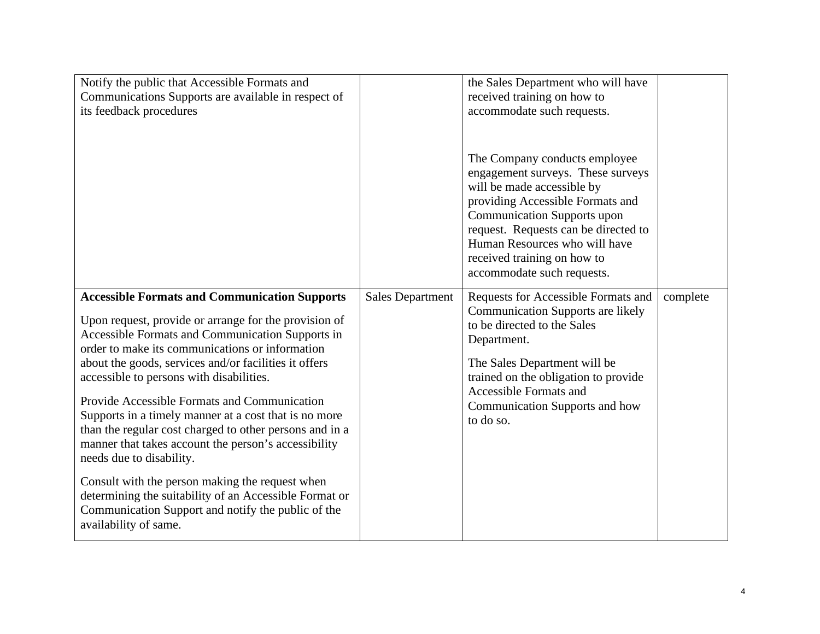| Notify the public that Accessible Formats and<br>Communications Supports are available in respect of<br>its feedback procedures                                                                                                                                                                                                                                                                                                                                                                                                                                                                                                                                                                                                                                               |                         | the Sales Department who will have<br>received training on how to<br>accommodate such requests.                                                                                                                                                                                                                  |          |
|-------------------------------------------------------------------------------------------------------------------------------------------------------------------------------------------------------------------------------------------------------------------------------------------------------------------------------------------------------------------------------------------------------------------------------------------------------------------------------------------------------------------------------------------------------------------------------------------------------------------------------------------------------------------------------------------------------------------------------------------------------------------------------|-------------------------|------------------------------------------------------------------------------------------------------------------------------------------------------------------------------------------------------------------------------------------------------------------------------------------------------------------|----------|
|                                                                                                                                                                                                                                                                                                                                                                                                                                                                                                                                                                                                                                                                                                                                                                               |                         | The Company conducts employee<br>engagement surveys. These surveys<br>will be made accessible by<br>providing Accessible Formats and<br><b>Communication Supports upon</b><br>request. Requests can be directed to<br>Human Resources who will have<br>received training on how to<br>accommodate such requests. |          |
| <b>Accessible Formats and Communication Supports</b><br>Upon request, provide or arrange for the provision of<br>Accessible Formats and Communication Supports in<br>order to make its communications or information<br>about the goods, services and/or facilities it offers<br>accessible to persons with disabilities.<br>Provide Accessible Formats and Communication<br>Supports in a timely manner at a cost that is no more<br>than the regular cost charged to other persons and in a<br>manner that takes account the person's accessibility<br>needs due to disability.<br>Consult with the person making the request when<br>determining the suitability of an Accessible Format or<br>Communication Support and notify the public of the<br>availability of same. | <b>Sales Department</b> | Requests for Accessible Formats and<br><b>Communication Supports are likely</b><br>to be directed to the Sales<br>Department.<br>The Sales Department will be<br>trained on the obligation to provide<br><b>Accessible Formats and</b><br>Communication Supports and how<br>to do so.                            | complete |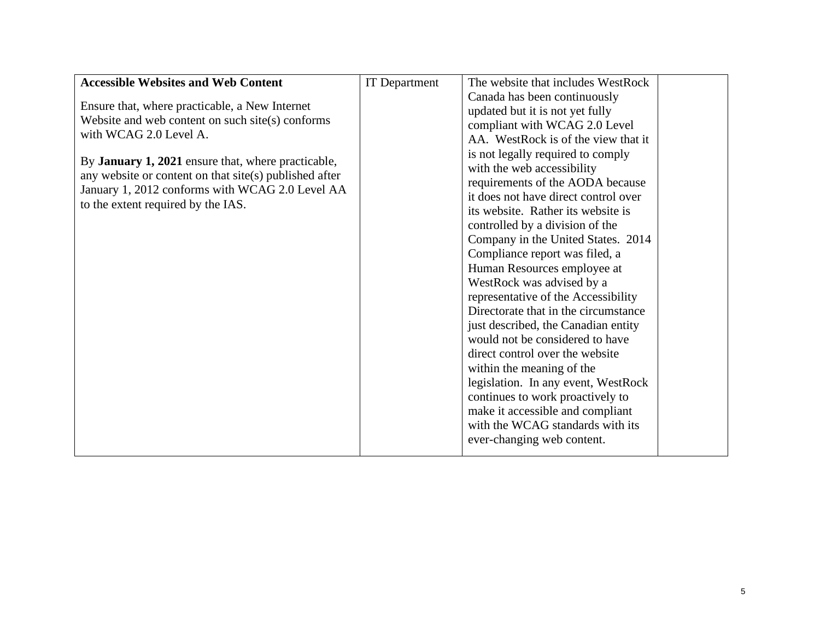| <b>Accessible Websites and Web Content</b>                | <b>IT</b> Department | The website that includes WestRock   |  |
|-----------------------------------------------------------|----------------------|--------------------------------------|--|
|                                                           |                      | Canada has been continuously         |  |
| Ensure that, where practicable, a New Internet            |                      | updated but it is not yet fully      |  |
| Website and web content on such site(s) conforms          |                      | compliant with WCAG 2.0 Level        |  |
| with WCAG 2.0 Level A.                                    |                      | AA. WestRock is of the view that it  |  |
|                                                           |                      | is not legally required to comply    |  |
| By <b>January 1, 2021</b> ensure that, where practicable, |                      | with the web accessibility           |  |
| any website or content on that site(s) published after    |                      | requirements of the AODA because     |  |
| January 1, 2012 conforms with WCAG 2.0 Level AA           |                      | it does not have direct control over |  |
| to the extent required by the IAS.                        |                      | its website. Rather its website is   |  |
|                                                           |                      | controlled by a division of the      |  |
|                                                           |                      | Company in the United States. 2014   |  |
|                                                           |                      | Compliance report was filed, a       |  |
|                                                           |                      | Human Resources employee at          |  |
|                                                           |                      | WestRock was advised by a            |  |
|                                                           |                      | representative of the Accessibility  |  |
|                                                           |                      | Directorate that in the circumstance |  |
|                                                           |                      | just described, the Canadian entity  |  |
|                                                           |                      | would not be considered to have      |  |
|                                                           |                      | direct control over the website      |  |
|                                                           |                      | within the meaning of the            |  |
|                                                           |                      | legislation. In any event, WestRock  |  |
|                                                           |                      | continues to work proactively to     |  |
|                                                           |                      | make it accessible and compliant     |  |
|                                                           |                      | with the WCAG standards with its     |  |
|                                                           |                      | ever-changing web content.           |  |
|                                                           |                      |                                      |  |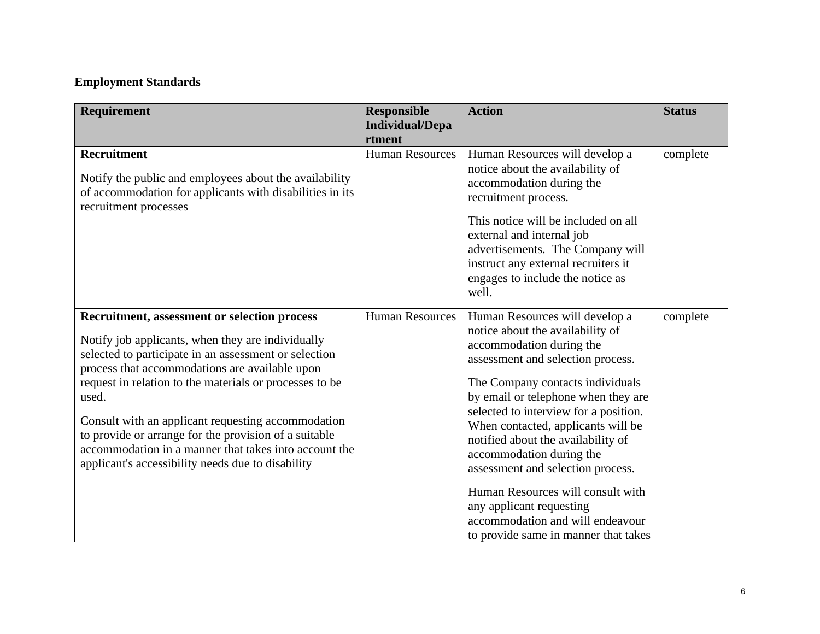# **Employment Standards**

| Requirement                                                                                                                                                                                                                                                                                                                                                                                                                                                                                                          | <b>Responsible</b><br><b>Individual/Depa</b><br>rtment | <b>Action</b>                                                                                                                                                                                                                                                                                                                                                                                                                                                                                                                                     | <b>Status</b> |
|----------------------------------------------------------------------------------------------------------------------------------------------------------------------------------------------------------------------------------------------------------------------------------------------------------------------------------------------------------------------------------------------------------------------------------------------------------------------------------------------------------------------|--------------------------------------------------------|---------------------------------------------------------------------------------------------------------------------------------------------------------------------------------------------------------------------------------------------------------------------------------------------------------------------------------------------------------------------------------------------------------------------------------------------------------------------------------------------------------------------------------------------------|---------------|
| <b>Recruitment</b><br>Notify the public and employees about the availability<br>of accommodation for applicants with disabilities in its<br>recruitment processes                                                                                                                                                                                                                                                                                                                                                    | <b>Human Resources</b>                                 | Human Resources will develop a<br>notice about the availability of<br>accommodation during the<br>recruitment process.<br>This notice will be included on all<br>external and internal job<br>advertisements. The Company will<br>instruct any external recruiters it<br>engages to include the notice as<br>well.                                                                                                                                                                                                                                | complete      |
| <b>Recruitment, assessment or selection process</b><br>Notify job applicants, when they are individually<br>selected to participate in an assessment or selection<br>process that accommodations are available upon<br>request in relation to the materials or processes to be<br>used.<br>Consult with an applicant requesting accommodation<br>to provide or arrange for the provision of a suitable<br>accommodation in a manner that takes into account the<br>applicant's accessibility needs due to disability | <b>Human Resources</b>                                 | Human Resources will develop a<br>notice about the availability of<br>accommodation during the<br>assessment and selection process.<br>The Company contacts individuals<br>by email or telephone when they are<br>selected to interview for a position.<br>When contacted, applicants will be<br>notified about the availability of<br>accommodation during the<br>assessment and selection process.<br>Human Resources will consult with<br>any applicant requesting<br>accommodation and will endeavour<br>to provide same in manner that takes | complete      |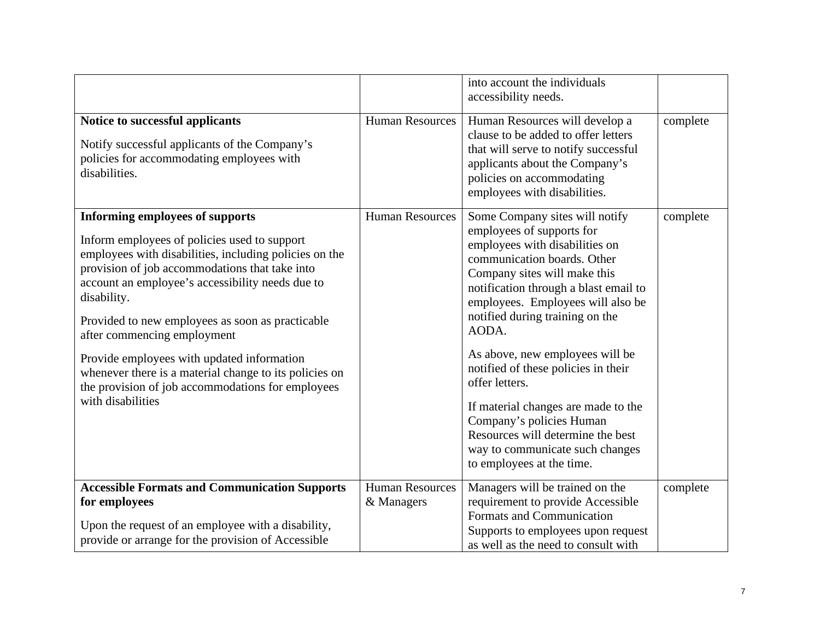|                                                                                                                                                                                                                                                                                                                                                                                                                                                                                                                                            |                                      | into account the individuals<br>accessibility needs.                                                                                                                                                                                                                                                                                                                                                                                                                                                                                                       |          |
|--------------------------------------------------------------------------------------------------------------------------------------------------------------------------------------------------------------------------------------------------------------------------------------------------------------------------------------------------------------------------------------------------------------------------------------------------------------------------------------------------------------------------------------------|--------------------------------------|------------------------------------------------------------------------------------------------------------------------------------------------------------------------------------------------------------------------------------------------------------------------------------------------------------------------------------------------------------------------------------------------------------------------------------------------------------------------------------------------------------------------------------------------------------|----------|
| Notice to successful applicants<br>Notify successful applicants of the Company's<br>policies for accommodating employees with<br>disabilities.                                                                                                                                                                                                                                                                                                                                                                                             | <b>Human Resources</b>               | Human Resources will develop a<br>clause to be added to offer letters<br>that will serve to notify successful<br>applicants about the Company's<br>policies on accommodating<br>employees with disabilities.                                                                                                                                                                                                                                                                                                                                               | complete |
| <b>Informing employees of supports</b><br>Inform employees of policies used to support<br>employees with disabilities, including policies on the<br>provision of job accommodations that take into<br>account an employee's accessibility needs due to<br>disability.<br>Provided to new employees as soon as practicable<br>after commencing employment<br>Provide employees with updated information<br>whenever there is a material change to its policies on<br>the provision of job accommodations for employees<br>with disabilities | <b>Human Resources</b>               | Some Company sites will notify<br>employees of supports for<br>employees with disabilities on<br>communication boards. Other<br>Company sites will make this<br>notification through a blast email to<br>employees. Employees will also be<br>notified during training on the<br>AODA.<br>As above, new employees will be<br>notified of these policies in their<br>offer letters.<br>If material changes are made to the<br>Company's policies Human<br>Resources will determine the best<br>way to communicate such changes<br>to employees at the time. | complete |
| <b>Accessible Formats and Communication Supports</b><br>for employees<br>Upon the request of an employee with a disability,<br>provide or arrange for the provision of Accessible                                                                                                                                                                                                                                                                                                                                                          | <b>Human Resources</b><br>& Managers | Managers will be trained on the<br>requirement to provide Accessible<br>Formats and Communication<br>Supports to employees upon request<br>as well as the need to consult with                                                                                                                                                                                                                                                                                                                                                                             | complete |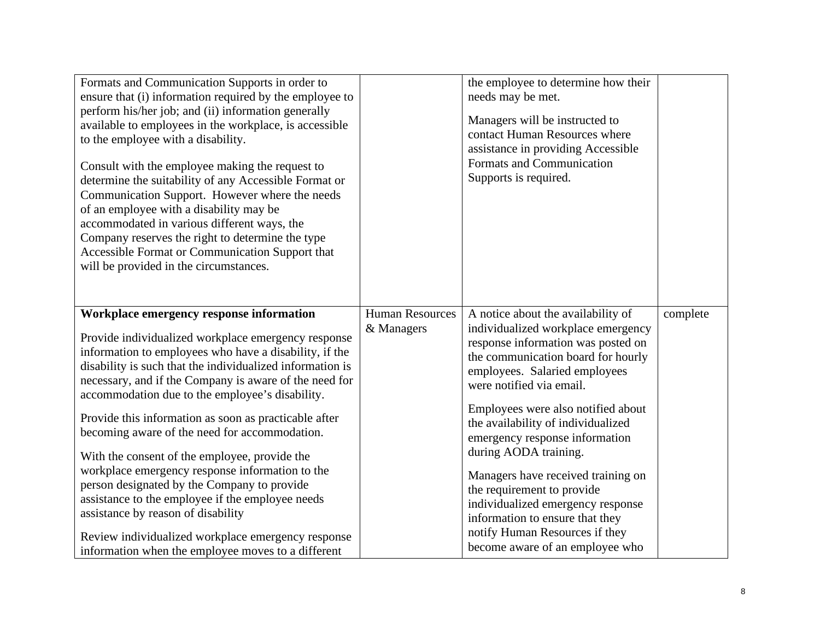| Formats and Communication Supports in order to<br>ensure that (i) information required by the employee to<br>perform his/her job; and (ii) information generally<br>available to employees in the workplace, is accessible<br>to the employee with a disability.<br>Consult with the employee making the request to<br>determine the suitability of any Accessible Format or<br>Communication Support. However where the needs<br>of an employee with a disability may be<br>accommodated in various different ways, the<br>Company reserves the right to determine the type<br>Accessible Format or Communication Support that<br>will be provided in the circumstances.                                                                                                                              |                                      | the employee to determine how their<br>needs may be met.<br>Managers will be instructed to<br>contact Human Resources where<br>assistance in providing Accessible<br>Formats and Communication<br>Supports is required.                                                                                                                                                                                                                                                                                                                                                   |          |
|--------------------------------------------------------------------------------------------------------------------------------------------------------------------------------------------------------------------------------------------------------------------------------------------------------------------------------------------------------------------------------------------------------------------------------------------------------------------------------------------------------------------------------------------------------------------------------------------------------------------------------------------------------------------------------------------------------------------------------------------------------------------------------------------------------|--------------------------------------|---------------------------------------------------------------------------------------------------------------------------------------------------------------------------------------------------------------------------------------------------------------------------------------------------------------------------------------------------------------------------------------------------------------------------------------------------------------------------------------------------------------------------------------------------------------------------|----------|
| Workplace emergency response information<br>Provide individualized workplace emergency response<br>information to employees who have a disability, if the<br>disability is such that the individualized information is<br>necessary, and if the Company is aware of the need for<br>accommodation due to the employee's disability.<br>Provide this information as soon as practicable after<br>becoming aware of the need for accommodation.<br>With the consent of the employee, provide the<br>workplace emergency response information to the<br>person designated by the Company to provide<br>assistance to the employee if the employee needs<br>assistance by reason of disability<br>Review individualized workplace emergency response<br>information when the employee moves to a different | <b>Human Resources</b><br>& Managers | A notice about the availability of<br>individualized workplace emergency<br>response information was posted on<br>the communication board for hourly<br>employees. Salaried employees<br>were notified via email.<br>Employees were also notified about<br>the availability of individualized<br>emergency response information<br>during AODA training.<br>Managers have received training on<br>the requirement to provide<br>individualized emergency response<br>information to ensure that they<br>notify Human Resources if they<br>become aware of an employee who | complete |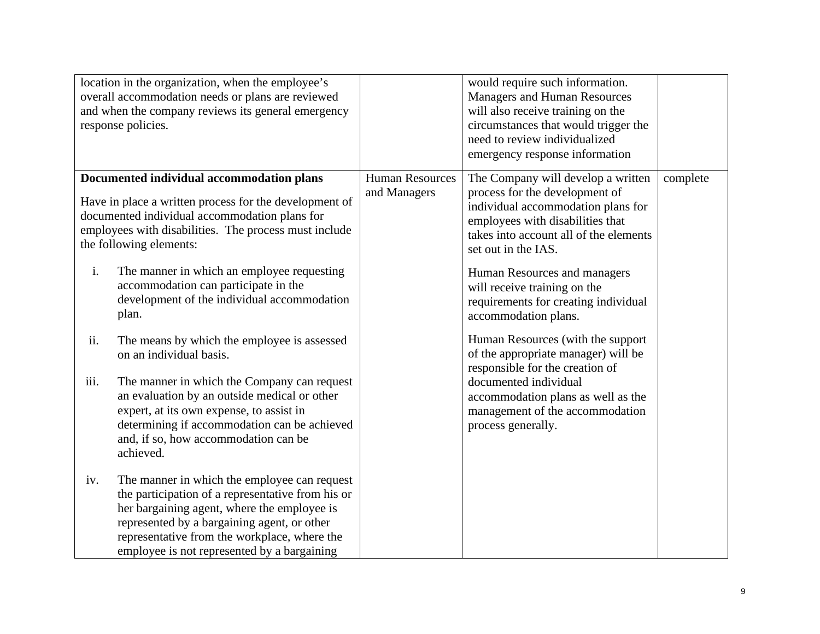|      | location in the organization, when the employee's<br>overall accommodation needs or plans are reviewed<br>and when the company reviews its general emergency<br>response policies.                                                                                                             |                                        | would require such information.<br><b>Managers and Human Resources</b><br>will also receive training on the<br>circumstances that would trigger the<br>need to review individualized<br>emergency response information                          |          |
|------|------------------------------------------------------------------------------------------------------------------------------------------------------------------------------------------------------------------------------------------------------------------------------------------------|----------------------------------------|-------------------------------------------------------------------------------------------------------------------------------------------------------------------------------------------------------------------------------------------------|----------|
| i.   | Documented individual accommodation plans<br>Have in place a written process for the development of<br>documented individual accommodation plans for<br>employees with disabilities. The process must include<br>the following elements:<br>The manner in which an employee requesting         | <b>Human Resources</b><br>and Managers | The Company will develop a written<br>process for the development of<br>individual accommodation plans for<br>employees with disabilities that<br>takes into account all of the elements<br>set out in the IAS.<br>Human Resources and managers | complete |
|      | accommodation can participate in the<br>development of the individual accommodation<br>plan.                                                                                                                                                                                                   |                                        | will receive training on the<br>requirements for creating individual<br>accommodation plans.                                                                                                                                                    |          |
| ii.  | The means by which the employee is assessed<br>on an individual basis.                                                                                                                                                                                                                         |                                        | Human Resources (with the support)<br>of the appropriate manager) will be<br>responsible for the creation of                                                                                                                                    |          |
| iii. | The manner in which the Company can request<br>an evaluation by an outside medical or other<br>expert, at its own expense, to assist in<br>determining if accommodation can be achieved<br>and, if so, how accommodation can be<br>achieved.                                                   |                                        | documented individual<br>accommodation plans as well as the<br>management of the accommodation<br>process generally.                                                                                                                            |          |
| iv.  | The manner in which the employee can request<br>the participation of a representative from his or<br>her bargaining agent, where the employee is<br>represented by a bargaining agent, or other<br>representative from the workplace, where the<br>employee is not represented by a bargaining |                                        |                                                                                                                                                                                                                                                 |          |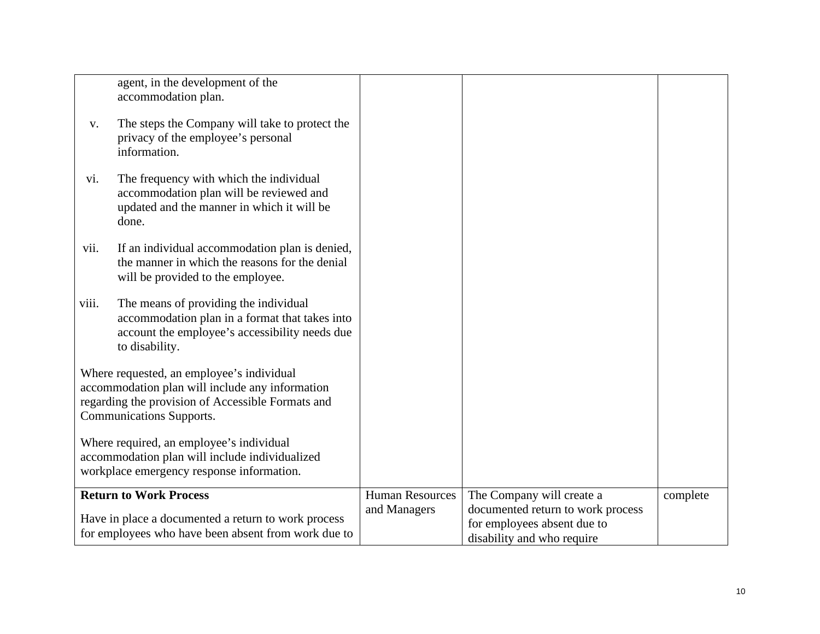|       | agent, in the development of the<br>accommodation plan.                                                                                                                       |                        |                                                                                                |          |
|-------|-------------------------------------------------------------------------------------------------------------------------------------------------------------------------------|------------------------|------------------------------------------------------------------------------------------------|----------|
| V.    | The steps the Company will take to protect the<br>privacy of the employee's personal<br>information.                                                                          |                        |                                                                                                |          |
| vi.   | The frequency with which the individual<br>accommodation plan will be reviewed and<br>updated and the manner in which it will be<br>done.                                     |                        |                                                                                                |          |
| vii.  | If an individual accommodation plan is denied,<br>the manner in which the reasons for the denial<br>will be provided to the employee.                                         |                        |                                                                                                |          |
| viii. | The means of providing the individual<br>accommodation plan in a format that takes into<br>account the employee's accessibility needs due<br>to disability.                   |                        |                                                                                                |          |
|       | Where requested, an employee's individual<br>accommodation plan will include any information<br>regarding the provision of Accessible Formats and<br>Communications Supports. |                        |                                                                                                |          |
|       | Where required, an employee's individual<br>accommodation plan will include individualized<br>workplace emergency response information.                                       |                        |                                                                                                |          |
|       | <b>Return to Work Process</b>                                                                                                                                                 | <b>Human Resources</b> | The Company will create a                                                                      | complete |
|       | Have in place a documented a return to work process<br>for employees who have been absent from work due to                                                                    | and Managers           | documented return to work process<br>for employees absent due to<br>disability and who require |          |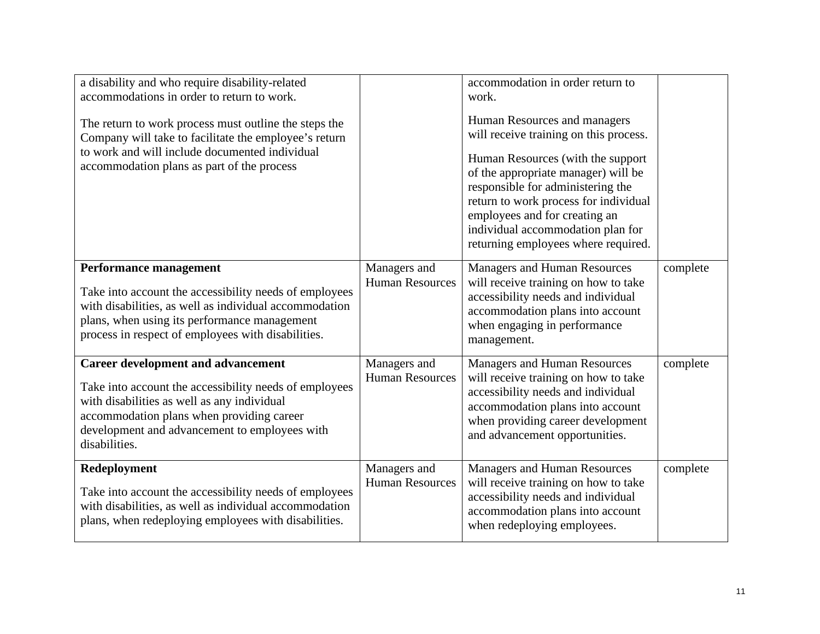| a disability and who require disability-related<br>accommodations in order to return to work.<br>The return to work process must outline the steps the<br>Company will take to facilitate the employee's return<br>to work and will include documented individual<br>accommodation plans as part of the process |                                        | accommodation in order return to<br>work.<br>Human Resources and managers<br>will receive training on this process.<br>Human Resources (with the support)<br>of the appropriate manager) will be<br>responsible for administering the<br>return to work process for individual<br>employees and for creating an<br>individual accommodation plan for<br>returning employees where required. |          |
|-----------------------------------------------------------------------------------------------------------------------------------------------------------------------------------------------------------------------------------------------------------------------------------------------------------------|----------------------------------------|---------------------------------------------------------------------------------------------------------------------------------------------------------------------------------------------------------------------------------------------------------------------------------------------------------------------------------------------------------------------------------------------|----------|
| <b>Performance management</b><br>Take into account the accessibility needs of employees<br>with disabilities, as well as individual accommodation<br>plans, when using its performance management<br>process in respect of employees with disabilities.                                                         | Managers and<br><b>Human Resources</b> | Managers and Human Resources<br>will receive training on how to take<br>accessibility needs and individual<br>accommodation plans into account<br>when engaging in performance<br>management.                                                                                                                                                                                               | complete |
| <b>Career development and advancement</b><br>Take into account the accessibility needs of employees<br>with disabilities as well as any individual<br>accommodation plans when providing career<br>development and advancement to employees with<br>disabilities.                                               | Managers and<br><b>Human Resources</b> | <b>Managers and Human Resources</b><br>will receive training on how to take<br>accessibility needs and individual<br>accommodation plans into account<br>when providing career development<br>and advancement opportunities.                                                                                                                                                                | complete |
| Redeployment<br>Take into account the accessibility needs of employees<br>with disabilities, as well as individual accommodation<br>plans, when redeploying employees with disabilities.                                                                                                                        | Managers and<br><b>Human Resources</b> | <b>Managers and Human Resources</b><br>will receive training on how to take<br>accessibility needs and individual<br>accommodation plans into account<br>when redeploying employees.                                                                                                                                                                                                        | complete |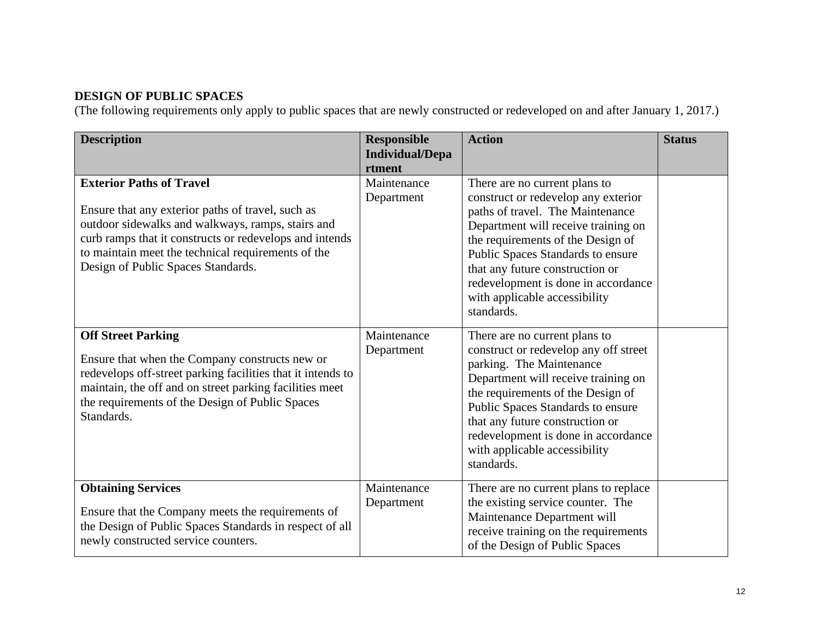## **DESIGN OF PUBLIC SPACES**

(The following requirements only apply to public spaces that are newly constructed or redeveloped on and after January 1, 2017.)

| <b>Description</b>                                                                                                                                                                                                                                                                               | <b>Responsible</b><br><b>Individual/Depa</b><br>rtment | <b>Action</b>                                                                                                                                                                                                                                                                                                                                      | <b>Status</b> |
|--------------------------------------------------------------------------------------------------------------------------------------------------------------------------------------------------------------------------------------------------------------------------------------------------|--------------------------------------------------------|----------------------------------------------------------------------------------------------------------------------------------------------------------------------------------------------------------------------------------------------------------------------------------------------------------------------------------------------------|---------------|
| <b>Exterior Paths of Travel</b><br>Ensure that any exterior paths of travel, such as<br>outdoor sidewalks and walkways, ramps, stairs and<br>curb ramps that it constructs or redevelops and intends<br>to maintain meet the technical requirements of the<br>Design of Public Spaces Standards. | Maintenance<br>Department                              | There are no current plans to<br>construct or redevelop any exterior<br>paths of travel. The Maintenance<br>Department will receive training on<br>the requirements of the Design of<br>Public Spaces Standards to ensure<br>that any future construction or<br>redevelopment is done in accordance<br>with applicable accessibility<br>standards. |               |
| <b>Off Street Parking</b><br>Ensure that when the Company constructs new or<br>redevelops off-street parking facilities that it intends to<br>maintain, the off and on street parking facilities meet<br>the requirements of the Design of Public Spaces<br>Standards.                           | Maintenance<br>Department                              | There are no current plans to<br>construct or redevelop any off street<br>parking. The Maintenance<br>Department will receive training on<br>the requirements of the Design of<br>Public Spaces Standards to ensure<br>that any future construction or<br>redevelopment is done in accordance<br>with applicable accessibility<br>standards.       |               |
| <b>Obtaining Services</b><br>Ensure that the Company meets the requirements of<br>the Design of Public Spaces Standards in respect of all<br>newly constructed service counters.                                                                                                                 | Maintenance<br>Department                              | There are no current plans to replace<br>the existing service counter. The<br>Maintenance Department will<br>receive training on the requirements<br>of the Design of Public Spaces                                                                                                                                                                |               |